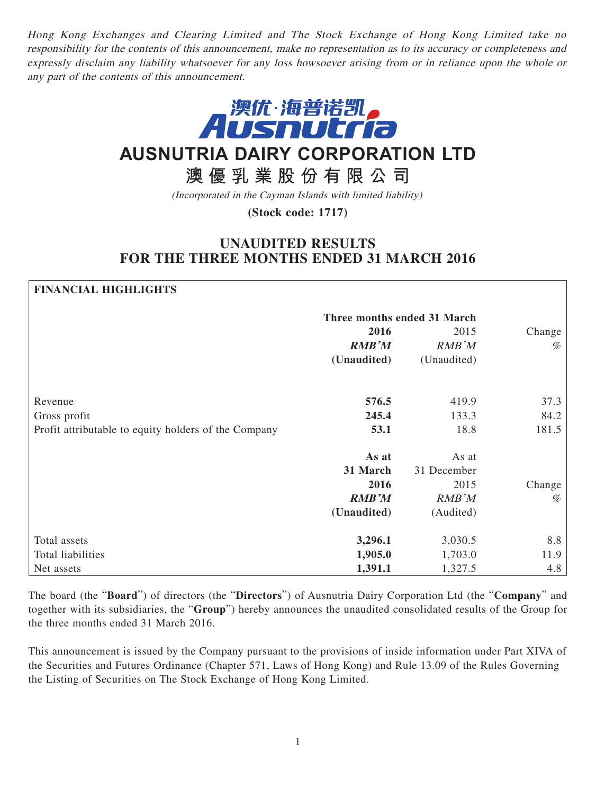Hong Kong Exchanges and Clearing Limited and The Stock Exchange of Hong Kong Limited take no responsibility for the contents of this announcement, make no representation as to its accuracy or completeness and expressly disclaim any liability whatsoever for any loss howsoever arising from or in reliance upon the whole or any part of the contents of this announcement.



# **AUSNUTRIA DAIRY CORPORATION LTD**

**澳優乳業股份有限公司**

(Incorporated in the Cayman Islands with limited liability)

**(Stock code: 1717)**

## **UNAUDITED RESULTS FOR THE THREE MONTHS ENDED 31 MARCH 2016**

**FINANCIAL HIGHLIGHTS** 

| гимметат пилитингэ                                   |                             |             |        |
|------------------------------------------------------|-----------------------------|-------------|--------|
|                                                      | Three months ended 31 March |             |        |
|                                                      | 2016                        | 2015        | Change |
|                                                      | <b>RMB'M</b>                | RMB'M       | $\%$   |
|                                                      | (Unaudited)                 | (Unaudited) |        |
| Revenue                                              | 576.5                       | 419.9       | 37.3   |
| Gross profit                                         | 245.4                       | 133.3       | 84.2   |
|                                                      | 53.1                        | 18.8        | 181.5  |
| Profit attributable to equity holders of the Company |                             |             |        |
|                                                      | As at                       | As at       |        |
|                                                      | 31 March                    | 31 December |        |
|                                                      | 2016                        | 2015        | Change |
|                                                      | <b>RMB'M</b>                | RMB'M       | %      |
|                                                      | (Unaudited)                 | (Audited)   |        |
| Total assets                                         | 3,296.1                     | 3,030.5     | 8.8    |
| Total liabilities                                    | 1,905.0                     | 1,703.0     | 11.9   |
| Net assets                                           | 1,391.1                     | 1,327.5     | 4.8    |

The board (the "**Board**") of directors (the "**Directors**") of Ausnutria Dairy Corporation Ltd (the "**Company**" and together with its subsidiaries, the "**Group**") hereby announces the unaudited consolidated results of the Group for the three months ended 31 March 2016.

This announcement is issued by the Company pursuant to the provisions of inside information under Part XIVA of the Securities and Futures Ordinance (Chapter 571, Laws of Hong Kong) and Rule 13.09 of the Rules Governing the Listing of Securities on The Stock Exchange of Hong Kong Limited.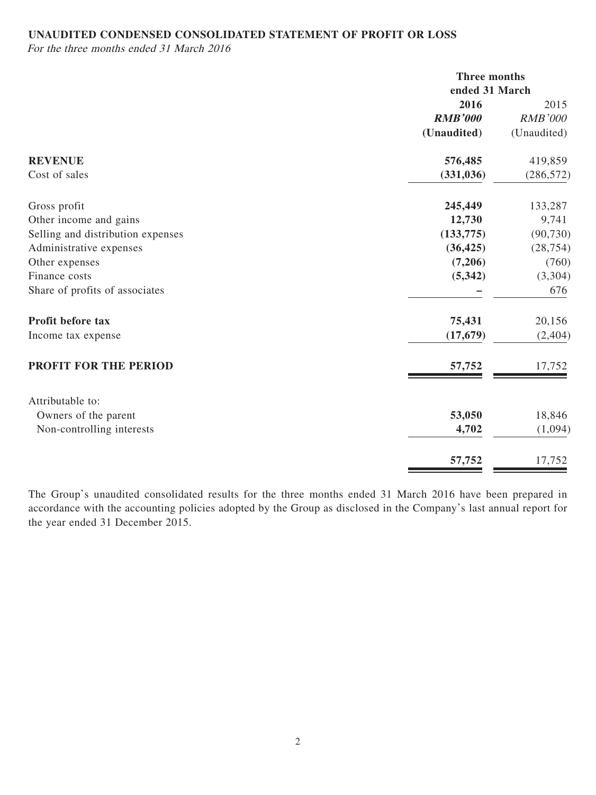### **UNAUDITED CONDENSED CONSOLIDATED STATEMENT OF PROFIT OR LOSS**

For the three months ended 31 March 2016

|                                   |                | Three months<br>ended 31 March |  |
|-----------------------------------|----------------|--------------------------------|--|
|                                   | 2016           | 2015                           |  |
|                                   | <b>RMB'000</b> | <b>RMB'000</b>                 |  |
|                                   | (Unaudited)    | (Unaudited)                    |  |
| <b>REVENUE</b>                    | 576,485        | 419,859                        |  |
| Cost of sales                     | (331, 036)     | (286, 572)                     |  |
| Gross profit                      | 245,449        | 133,287                        |  |
| Other income and gains            | 12,730         | 9,741                          |  |
| Selling and distribution expenses | (133, 775)     | (90, 730)                      |  |
| Administrative expenses           | (36, 425)      | (28, 754)                      |  |
| Other expenses                    | (7,206)        | (760)                          |  |
| Finance costs                     | (5,342)        | (3,304)                        |  |
| Share of profits of associates    |                | 676                            |  |
| Profit before tax                 | 75,431         | 20,156                         |  |
| Income tax expense                | (17, 679)      | (2, 404)                       |  |
| PROFIT FOR THE PERIOD             | 57,752         | 17,752                         |  |
| Attributable to:                  |                |                                |  |
| Owners of the parent              | 53,050         | 18,846                         |  |
| Non-controlling interests         | 4,702          | (1,094)                        |  |
|                                   | 57,752         | 17,752                         |  |

The Group's unaudited consolidated results for the three months ended 31 March 2016 have been prepared in accordance with the accounting policies adopted by the Group as disclosed in the Company's last annual report for the year ended 31 December 2015.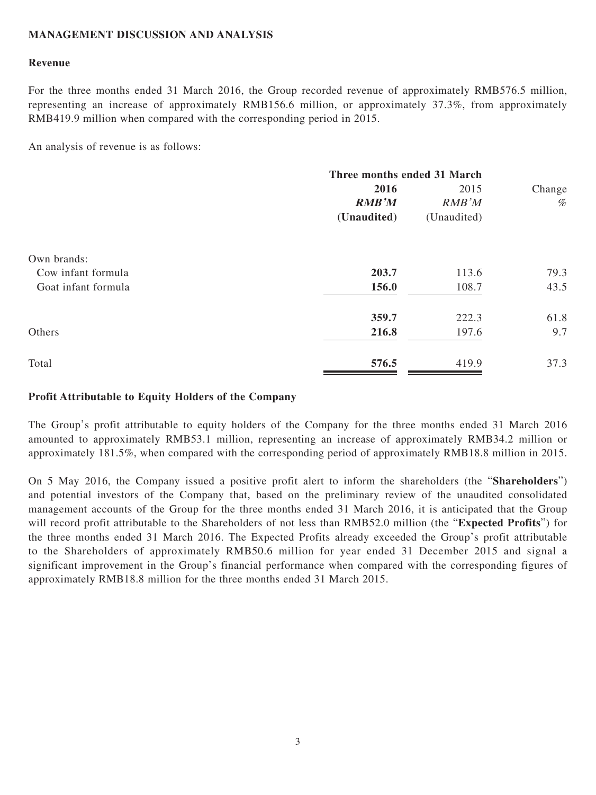#### **MANAGEMENT DISCUSSION AND ANALYSIS**

#### **Revenue**

For the three months ended 31 March 2016, the Group recorded revenue of approximately RMB576.5 million, representing an increase of approximately RMB156.6 million, or approximately 37.3%, from approximately RMB419.9 million when compared with the corresponding period in 2015.

An analysis of revenue is as follows:

|                     | Three months ended 31 March |             |        |
|---------------------|-----------------------------|-------------|--------|
|                     | 2016                        | 2015        | Change |
|                     | <b>RMB'M</b>                | RMB'M       | $\%$   |
|                     | (Unaudited)                 | (Unaudited) |        |
| Own brands:         |                             |             |        |
| Cow infant formula  | 203.7                       | 113.6       | 79.3   |
| Goat infant formula | 156.0                       | 108.7       | 43.5   |
|                     | 359.7                       | 222.3       | 61.8   |
| Others              | 216.8                       | 197.6       | 9.7    |
| Total               | 576.5                       | 419.9       | 37.3   |

#### **Profit Attributable to Equity Holders of the Company**

The Group's profit attributable to equity holders of the Company for the three months ended 31 March 2016 amounted to approximately RMB53.1 million, representing an increase of approximately RMB34.2 million or approximately 181.5%, when compared with the corresponding period of approximately RMB18.8 million in 2015.

On 5 May 2016, the Company issued a positive profit alert to inform the shareholders (the "**Shareholders**") and potential investors of the Company that, based on the preliminary review of the unaudited consolidated management accounts of the Group for the three months ended 31 March 2016, it is anticipated that the Group will record profit attributable to the Shareholders of not less than RMB52.0 million (the "**Expected Profits**") for the three months ended 31 March 2016. The Expected Profits already exceeded the Group's profit attributable to the Shareholders of approximately RMB50.6 million for year ended 31 December 2015 and signal a significant improvement in the Group's financial performance when compared with the corresponding figures of approximately RMB18.8 million for the three months ended 31 March 2015.